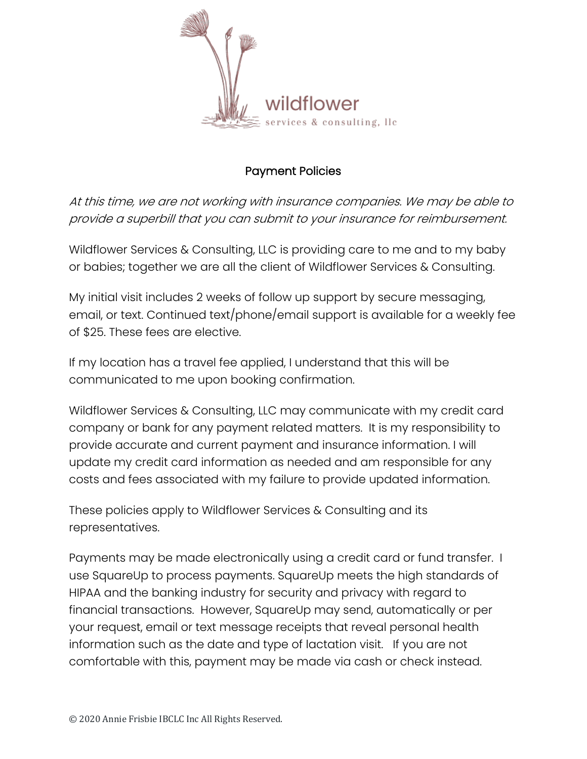

## Payment Policies

At this time, we are not working with insurance companies. We may be able to provide <sup>a</sup> superbill that you can submit to your insurance for reimbursement.

Wildflower Services & Consulting, LLC is providing care to me and to my baby or babies; together we are all the client of Wildflower Services & Consulting.

My initial visit includes 2 weeks of follow up support by secure messaging, email, or text. Continued text/phone/email support is available for a weekly fee of \$25. These fees are elective.

If my location has a travel fee applied, I understand that this will be communicated to me upon booking confirmation.

Wildflower Services & Consulting, LLC may communicate with my credit card company or bank for any payment related matters. It is my responsibility to provide accurate and current payment and insurance information. I will update my credit card information as needed and am responsible for any costs and fees associated with my failure to provide updated information.

These policies apply to Wildflower Services & Consulting and its representatives.

Payments may be made electronically using a credit card or fund transfer. I use SquareUp to process payments. SquareUp meets the high standards of HIPAA and the banking industry for security and privacy with regard to financial transactions. However, SquareUp may send, automatically or per your request, email or text message receipts that reveal personal health information such as the date and type of lactation visit. If you are not comfortable with this, payment may be made via cash or check instead.